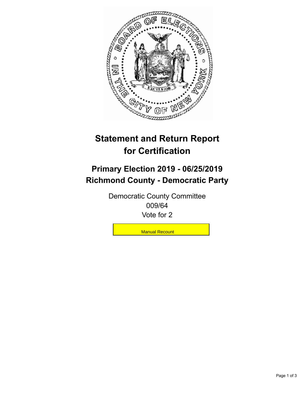

## **Statement and Return Report for Certification**

## **Primary Election 2019 - 06/25/2019 Richmond County - Democratic Party**

Democratic County Committee 009/64 Vote for 2

**Manual Recount**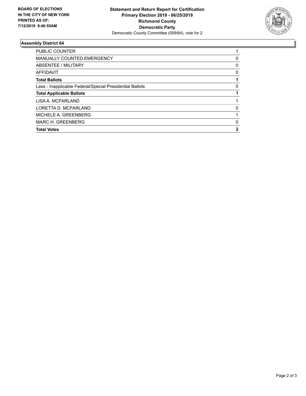

## **Assembly District 64**

| <b>Total Votes</b>                                       | 2        |
|----------------------------------------------------------|----------|
| MARC H. GREENBERG                                        | $\Omega$ |
| MICHELE A. GREENBERG                                     |          |
| LORETTA D. MCFARLAND                                     | $\Omega$ |
| LISA A. MCFARLAND                                        |          |
| <b>Total Applicable Ballots</b>                          |          |
| Less - Inapplicable Federal/Special Presidential Ballots | 0        |
| <b>Total Ballots</b>                                     |          |
| AFFIDAVIT                                                | 0        |
| ABSENTEE / MILITARY                                      | 0        |
| <b>MANUALLY COUNTED EMERGENCY</b>                        | 0        |
| <b>PUBLIC COUNTER</b>                                    |          |